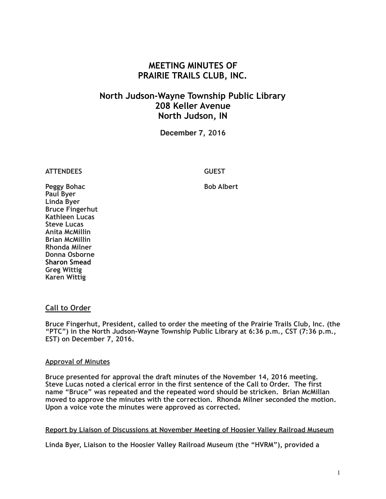# **MEETING MINUTES OF PRAIRIE TRAILS CLUB, INC.**

# **North Judson-Wayne Township Public Library 208 Keller Avenue North Judson, IN**

**December 7, 2016**

**ATTENDEES GUEST**

Peggy Bohac **Bob Albert Bob Albert Paul Byer Linda Byer Bruce Fingerhut Kathleen Lucas Steve Lucas Anita McMillin Brian McMillin Rhonda Milner Donna Osborne Sharon Smead Greg Wittig Karen Wittig**

# **Call to Order**

**Bruce Fingerhut, President, called to order the meeting of the Prairie Trails Club, Inc. (the "PTC") in the North Judson-Wayne Township Public Library at 6:36 p.m., CST (7:36 p.m., EST) on December 7, 2016.**

# **Approval of Minutes**

**Bruce presented for approval the draft minutes of the November 14, 2016 meeting. Steve Lucas noted a clerical error in the first sentence of the Call to Order. The first name "Bruce" was repeated and the repeated word should be stricken. Brian McMillan moved to approve the minutes with the correction. Rhonda Milner seconded the motion. Upon a voice vote the minutes were approved as corrected.**

# **Report by Liaison of Discussions at November Meeting of Hoosier Valley Railroad Museum**

**Linda Byer, Liaison to the Hoosier Valley Railroad Museum (the "HVRM"), provided a**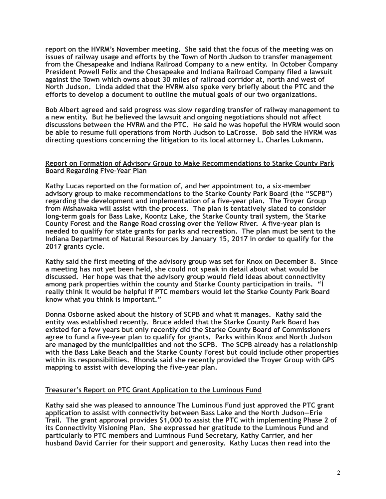**report on the HVRM's November meeting. She said that the focus of the meeting was on issues of railway usage and efforts by the Town of North Judson to transfer management from the Chesapeake and Indiana Railroad Company to a new entity. In October Company President Powell Felix and the Chesapeake and Indiana Railroad Company filed a lawsuit against the Town which owns about 30 miles of railroad corridor at, north and west of North Judson. Linda added that the HVRM also spoke very briefly about the PTC and the efforts to develop a document to outline the mutual goals of our two organizations.** 

**Bob Albert agreed and said progress was slow regarding transfer of railway management to a new entity. But he believed the lawsuit and ongoing negotiations should not affect discussions between the HVRM and the PTC. He said he was hopeful the HVRM would soon be able to resume full operations from North Judson to LaCrosse. Bob said the HVRM was directing questions concerning the litigation to its local attorney L. Charles Lukmann.** 

### **Report on Formation of Advisory Group to Make Recommendations to Starke County Park Board Regarding Five-Year Plan**

**Kathy Lucas reported on the formation of, and her appointment to, a six-member advisory group to make recommendations to the Starke County Park Board (the "SCPB") regarding the development and implementation of a five-year plan. The Troyer Group from Mishawaka will assist with the process. The plan is tentatively slated to consider long-term goals for Bass Lake, Koontz Lake, the Starke County trail system, the Starke County Forest and the Range Road crossing over the Yellow River. A five-year plan is needed to qualify for state grants for parks and recreation. The plan must be sent to the Indiana Department of Natural Resources by January 15, 2017 in order to qualify for the 2017 grants cycle.** 

**Kathy said the first meeting of the advisory group was set for Knox on December 8. Since a meeting has not yet been held, she could not speak in detail about what would be discussed. Her hope was that the advisory group would field ideas about connectivity among park properties within the county and Starke County participation in trails. "I really think it would be helpful if PTC members would let the Starke County Park Board know what you think is important."** 

**Donna Osborne asked about the history of SCPB and what it manages. Kathy said the entity was established recently. Bruce added that the Starke County Park Board has existed for a few years but only recently did the Starke County Board of Commissioners agree to fund a five-year plan to qualify for grants. Parks within Knox and North Judson are managed by the municipalities and not the SCPB. The SCPB already has a relationship with the Bass Lake Beach and the Starke County Forest but could include other properties within its responsibilities. Rhonda said she recently provided the Troyer Group with GPS mapping to assist with developing the five-year plan.** 

#### **Treasurer's Report on PTC Grant Application to the Luminous Fund**

**Kathy said she was pleased to announce The Luminous Fund just approved the PTC grant application to assist with connectivity between Bass Lake and the North Judson—Erie Trail. The grant approval provides \$1,000 to assist the PTC with implementing Phase 2 of its Connectivity Visioning Plan. She expressed her gratitude to the Luminous Fund and particularly to PTC members and Luminous Fund Secretary, Kathy Carrier, and her husband David Carrier for their support and generosity. Kathy Lucas then read into the**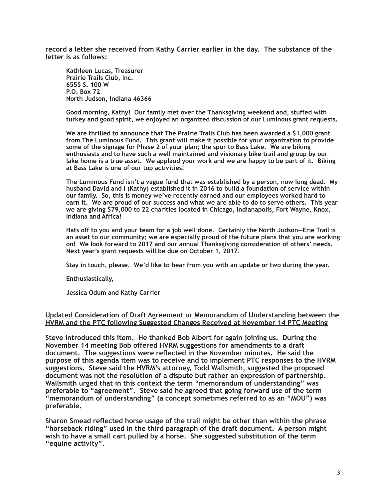**record a letter she received from Kathy Carrier earlier in the day. The substance of the letter is as follows:** 

**Kathleen Lucas, Treasurer Prairie Trails Club, Inc. 6555 S. 100 W P.O. Box 72 North Judson, Indiana 46366** 

**Good morning, Kathy! Our family met over the Thanksgiving weekend and, stuffed with turkey and good spirit, we enjoyed an organized discussion of our Luminous grant requests.** 

**We are thrilled to announce that The Prairie Trails Club has been awarded a \$1,000 grant from The Luminous Fund. This grant will make it possible for your organization to provide some of the signage for Phase 2 of your plan; the spur to Bass Lake. We are biking enthusiasts and to have such a well maintained and visionary bike trail and group by our lake home is a true asset. We applaud your work and we are happy to be part of it. Biking at Bass Lake is one of our top activities!** 

**The Luminous Fund isn't a vague fund that was established by a person, now long dead. My husband David and I (Kathy) established it in 2016 to build a foundation of service within our family. So, this is money we've recently earned and our employees worked hard to earn it. We are proud of our success and what we are able to do to serve others. This year we are giving \$79,000 to 22 charities located in Chicago, Indianapolis, Fort Wayne, Knox, Indiana and Africa!** 

**Hats off to you and your team for a job well done. Certainly the North Judson—Erie Trail is an asset to our community; we are especially proud of the future plans that you are working on! We look forward to 2017 and our annual Thanksgiving consideration of others' needs. Next year's grant requests will be due on October 1, 2017.** 

**Stay in touch, please. We'd like to hear from you with an update or two during the year.** 

**Enthusiastically,** 

**Jessica Odum and Kathy Carrier** 

#### **Updated Consideration of Draft Agreement or Memorandum of Understanding between the HVRM and the PTC following Suggested Changes Received at November 14 PTC Meeting**

**Steve introduced this item. He thanked Bob Albert for again joining us. During the November 14 meeting Bob offered HVRM suggestions for amendments to a draft document. The suggestions were reflected in the November minutes. He said the purpose of this agenda item was to receive and to implement PTC responses to the HVRM suggestions. Steve said the HVRM's attorney, Todd Wallsmith, suggested the proposed document was not the resolution of a dispute but rather an expression of partnership. Wallsmith urged that in this context the term "memorandum of understanding" was preferable to "agreement". Steve said he agreed that going forward use of the term "memorandum of understanding" (a concept sometimes referred to as an "MOU") was preferable.** 

**Sharon Smead reflected horse usage of the trail might be other than within the phrase "horseback riding" used in the third paragraph of the draft document. A person might wish to have a small cart pulled by a horse. She suggested substitution of the term "equine activity".**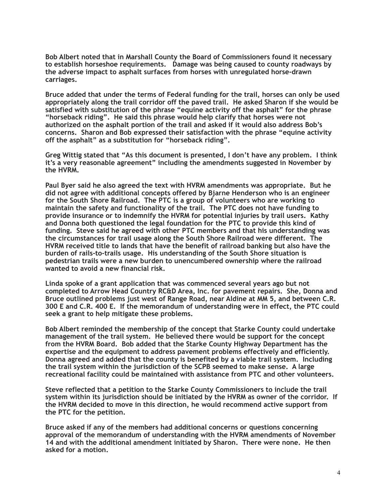**Bob Albert noted that in Marshall County the Board of Commissioners found it necessary to establish horseshoe requirements. Damage was being caused to county roadways by the adverse impact to asphalt surfaces from horses with unregulated horse-drawn carriages.** 

**Bruce added that under the terms of Federal funding for the trail, horses can only be used appropriately along the trail corridor off the paved trail. He asked Sharon if she would be satisfied with substitution of the phrase "equine activity off the asphalt" for the phrase "horseback riding". He said this phrase would help clarify that horses were not authorized on the asphalt portion of the trail and asked if it would also address Bob's concerns. Sharon and Bob expressed their satisfaction with the phrase "equine activity off the asphalt" as a substitution for "horseback riding".** 

**Greg Wittig stated that "As this document is presented, I don't have any problem. I think it's a very reasonable agreement" including the amendments suggested in November by the HVRM.** 

**Paul Byer said he also agreed the text with HVRM amendments was appropriate. But he did not agree with additional concepts offered by Bjarne Henderson who is an engineer for the South Shore Railroad. The PTC is a group of volunteers who are working to maintain the safety and functionality of the trail. The PTC does not have funding to provide insurance or to indemnify the HVRM for potential injuries by trail users. Kathy and Donna both questioned the legal foundation for the PTC to provide this kind of funding. Steve said he agreed with other PTC members and that his understanding was the circumstances for trail usage along the South Shore Railroad were different. The HVRM received title to lands that have the benefit of railroad banking but also have the burden of rails-to-trails usage. His understanding of the South Shore situation is pedestrian trails were a new burden to unencumbered ownership where the railroad wanted to avoid a new financial risk.** 

**Linda spoke of a grant application that was commenced several years ago but not completed to Arrow Head Country RC&D Area, Inc. for pavement repairs. She, Donna and Bruce outlined problems just west of Range Road, near Aldine at MM 5, and between C.R. 300 E and C.R. 400 E. If the memorandum of understanding were in effect, the PTC could seek a grant to help mitigate these problems.** 

**Bob Albert reminded the membership of the concept that Starke County could undertake management of the trail system. He believed there would be support for the concept from the HVRM Board. Bob added that the Starke County Highway Department has the expertise and the equipment to address pavement problems effectively and efficiently. Donna agreed and added that the county is benefited by a viable trail system. Including the trail system within the jurisdiction of the SCPB seemed to make sense. A large recreational facility could be maintained with assistance from PTC and other volunteers.** 

**Steve reflected that a petition to the Starke County Commissioners to include the trail system within its jurisdiction should be initiated by the HVRM as owner of the corridor. If the HVRM decided to move in this direction, he would recommend active support from the PTC for the petition.** 

**Bruce asked if any of the members had additional concerns or questions concerning approval of the memorandum of understanding with the HVRM amendments of November 14 and with the additional amendment initiated by Sharon. There were none. He then asked for a motion.**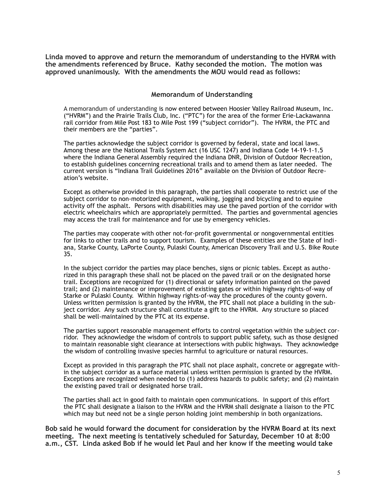**Linda moved to approve and return the memorandum of understanding to the HVRM with the amendments referenced by Bruce. Kathy seconded the motion. The motion was approved unanimously. With the amendments the MOU would read as follows:** 

#### **Memorandum of Understanding**

A memorandum of understanding is now entered between Hoosier Valley Railroad Museum, Inc. ("HVRM") and the Prairie Trails Club, Inc. ("PTC") for the area of the former Erie-Lackawanna rail corridor from Mile Post 183 to Mile Post 199 ("subject corridor"). The HVRM, the PTC and their members are the "parties".

The parties acknowledge the subject corridor is governed by federal, state and local laws. Among these are the National Trails System Act (16 USC 1247) and Indiana Code 14-19-1-1.5 where the Indiana General Assembly required the Indiana DNR, Division of Outdoor Recreation, to establish guidelines concerning recreational trails and to amend them as later needed. The current version is "Indiana Trail Guidelines 2016" available on the Division of Outdoor Recreation's website.

Except as otherwise provided in this paragraph, the parties shall cooperate to restrict use of the subject corridor to non-motorized equipment, walking, jogging and bicycling and to equine activity off the asphalt. Persons with disabilities may use the paved portion of the corridor with electric wheelchairs which are appropriately permitted. The parties and governmental agencies may access the trail for maintenance and for use by emergency vehicles.

The parties may cooperate with other not-for-profit governmental or nongovernmental entities for links to other trails and to support tourism. Examples of these entities are the State of Indiana, Starke County, LaPorte County, Pulaski County, American Discovery Trail and U.S. Bike Route 35.

In the subject corridor the parties may place benches, signs or picnic tables. Except as authorized in this paragraph these shall not be placed on the paved trail or on the designated horse trail. Exceptions are recognized for (1) directional or safety information painted on the paved trail; and (2) maintenance or improvement of existing gates or within highway rights-of-way of Starke or Pulaski County. Within highway rights-of-way the procedures of the county govern. Unless written permission is granted by the HVRM, the PTC shall not place a building in the subject corridor. Any such structure shall constitute a gift to the HVRM. Any structure so placed shall be well-maintained by the PTC at its expense.

The parties support reasonable management efforts to control vegetation within the subject corridor. They acknowledge the wisdom of controls to support public safety, such as those designed to maintain reasonable sight clearance at intersections with public highways. They acknowledge the wisdom of controlling invasive species harmful to agriculture or natural resources.

Except as provided in this paragraph the PTC shall not place asphalt, concrete or aggregate within the subject corridor as a surface material unless written permission is granted by the HVRM. Exceptions are recognized when needed to (1) address hazards to public safety; and (2) maintain the existing paved trail or designated horse trail.

The parties shall act in good faith to maintain open communications. In support of this effort the PTC shall designate a liaison to the HVRM and the HVRM shall designate a liaison to the PTC which may but need not be a single person holding joint membership in both organizations.

**Bob said he would forward the document for consideration by the HVRM Board at its next meeting. The next meeting is tentatively scheduled for Saturday, December 10 at 8:00 a.m., CST. Linda asked Bob if he would let Paul and her know if the meeting would take**